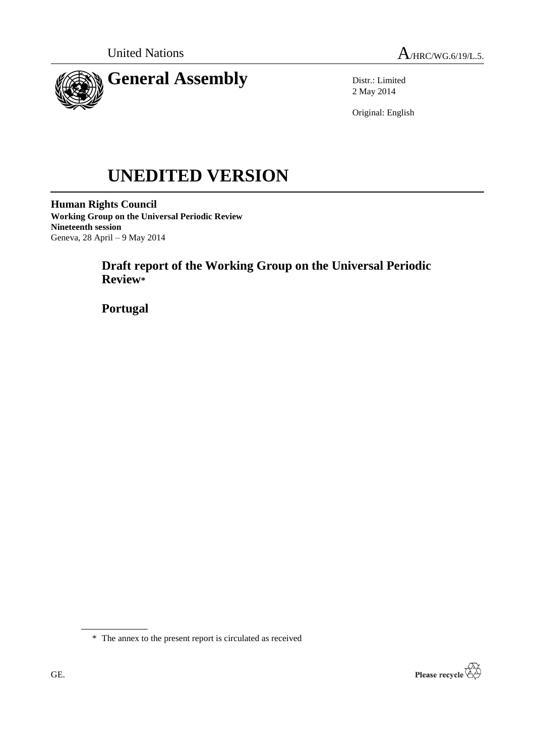



Distr.: Limited 2 May 2014

Original: English

# **UNEDITED VERSION**

**Human Rights Council Working Group on the Universal Periodic Review Nineteenth session** Geneva, 28 April – 9 May 2014

# **Draft report of the Working Group on the Universal Periodic Review\***

**Portugal**

\* The annex to the present report is circulated as received

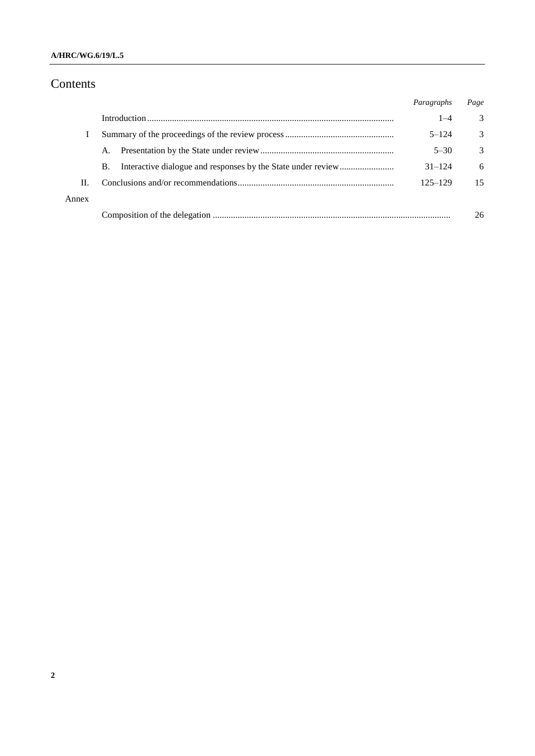## **A/HRC/WG.6/19/L.5**

# Contents

|       |           | Paragraphs  | Page          |
|-------|-----------|-------------|---------------|
|       |           | $1 - 4$     | 3             |
|       |           | $5 - 124$   | 3             |
|       | A.        | $5 - 30$    | $\mathcal{R}$ |
|       | <b>B.</b> | $31 - 124$  | 6             |
| Н.    |           | $125 - 129$ | 15            |
| Annex |           |             |               |
|       |           |             | 26            |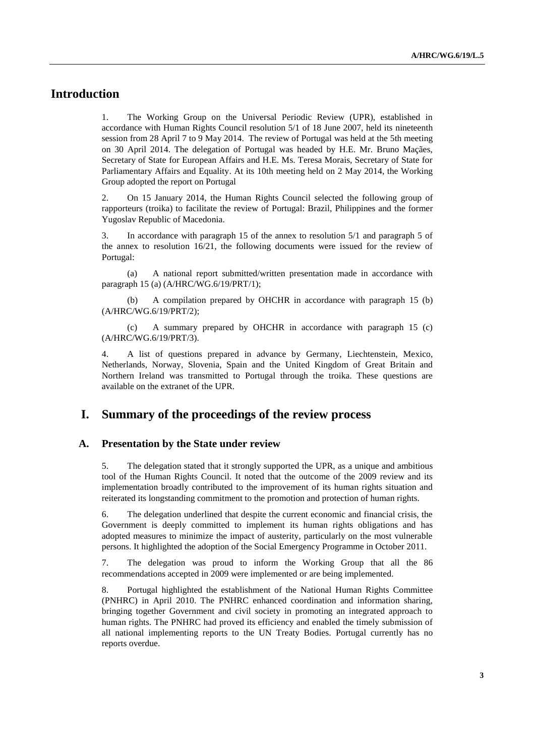## **Introduction**

1. The Working Group on the Universal Periodic Review (UPR), established in accordance with Human Rights Council resolution 5/1 of 18 June 2007, held its nineteenth session from 28 April 7 to 9 May 2014. The review of Portugal was held at the 5th meeting on 30 April 2014. The delegation of Portugal was headed by H.E. Mr. Bruno Maçães, Secretary of State for European Affairs and H.E. Ms. Teresa Morais, Secretary of State for Parliamentary Affairs and Equality. At its 10th meeting held on 2 May 2014, the Working Group adopted the report on Portugal

2. On 15 January 2014, the Human Rights Council selected the following group of rapporteurs (troika) to facilitate the review of Portugal: Brazil, Philippines and the former Yugoslav Republic of Macedonia.

3. In accordance with paragraph 15 of the annex to resolution 5/1 and paragraph 5 of the annex to resolution 16/21, the following documents were issued for the review of Portugal:

(a) A national report submitted/written presentation made in accordance with paragraph 15 (a) (A/HRC/WG.6/19/PRT/1);

(b) A compilation prepared by OHCHR in accordance with paragraph 15 (b) (A/HRC/WG.6/19/PRT/2);

(c) A summary prepared by OHCHR in accordance with paragraph 15 (c) (A/HRC/WG.6/19/PRT/3).

4. A list of questions prepared in advance by Germany, Liechtenstein, Mexico, Netherlands, Norway, Slovenia, Spain and the United Kingdom of Great Britain and Northern Ireland was transmitted to Portugal through the troika. These questions are available on the extranet of the UPR.

## **I. Summary of the proceedings of the review process**

#### **A. Presentation by the State under review**

5. The delegation stated that it strongly supported the UPR, as a unique and ambitious tool of the Human Rights Council. It noted that the outcome of the 2009 review and its implementation broadly contributed to the improvement of its human rights situation and reiterated its longstanding commitment to the promotion and protection of human rights.

6. The delegation underlined that despite the current economic and financial crisis, the Government is deeply committed to implement its human rights obligations and has adopted measures to minimize the impact of austerity, particularly on the most vulnerable persons. It highlighted the adoption of the Social Emergency Programme in October 2011.

7. The delegation was proud to inform the Working Group that all the 86 recommendations accepted in 2009 were implemented or are being implemented.

8. Portugal highlighted the establishment of the National Human Rights Committee (PNHRC) in April 2010. The PNHRC enhanced coordination and information sharing, bringing together Government and civil society in promoting an integrated approach to human rights. The PNHRC had proved its efficiency and enabled the timely submission of all national implementing reports to the UN Treaty Bodies. Portugal currently has no reports overdue.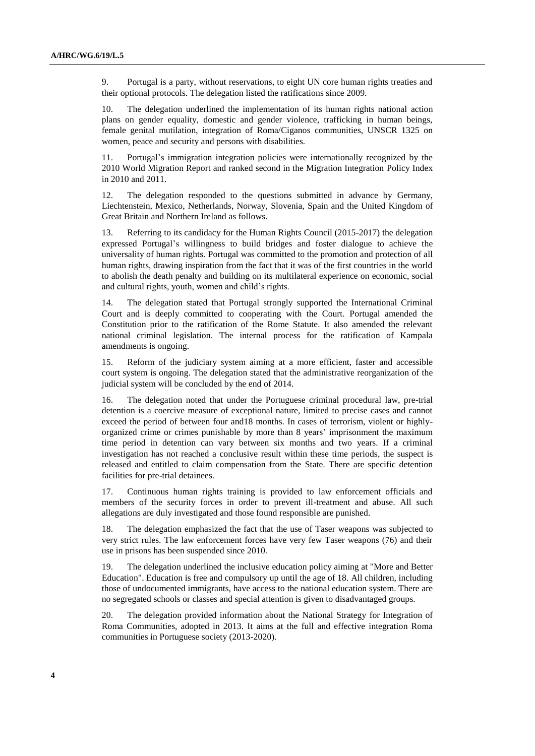9. Portugal is a party, without reservations, to eight UN core human rights treaties and their optional protocols. The delegation listed the ratifications since 2009.

10. The delegation underlined the implementation of its human rights national action plans on gender equality, domestic and gender violence, trafficking in human beings, female genital mutilation, integration of Roma/Ciganos communities, UNSCR 1325 on women, peace and security and persons with disabilities.

11. Portugal's immigration integration policies were internationally recognized by the 2010 World Migration Report and ranked second in the Migration Integration Policy Index in 2010 and 2011.

12. The delegation responded to the questions submitted in advance by Germany, Liechtenstein, Mexico, Netherlands, Norway, Slovenia, Spain and the United Kingdom of Great Britain and Northern Ireland as follows.

13. Referring to its candidacy for the Human Rights Council (2015-2017) the delegation expressed Portugal's willingness to build bridges and foster dialogue to achieve the universality of human rights. Portugal was committed to the promotion and protection of all human rights, drawing inspiration from the fact that it was of the first countries in the world to abolish the death penalty and building on its multilateral experience on economic, social and cultural rights, youth, women and child's rights.

14. The delegation stated that Portugal strongly supported the International Criminal Court and is deeply committed to cooperating with the Court. Portugal amended the Constitution prior to the ratification of the Rome Statute. It also amended the relevant national criminal legislation. The internal process for the ratification of Kampala amendments is ongoing.

15. Reform of the judiciary system aiming at a more efficient, faster and accessible court system is ongoing. The delegation stated that the administrative reorganization of the judicial system will be concluded by the end of 2014.

16. The delegation noted that under the Portuguese criminal procedural law, pre-trial detention is a coercive measure of exceptional nature, limited to precise cases and cannot exceed the period of between four and18 months. In cases of terrorism, violent or highlyorganized crime or crimes punishable by more than 8 years' imprisonment the maximum time period in detention can vary between six months and two years. If a criminal investigation has not reached a conclusive result within these time periods, the suspect is released and entitled to claim compensation from the State. There are specific detention facilities for pre-trial detainees.

17. Continuous human rights training is provided to law enforcement officials and members of the security forces in order to prevent ill-treatment and abuse. All such allegations are duly investigated and those found responsible are punished.

18. The delegation emphasized the fact that the use of Taser weapons was subjected to very strict rules. The law enforcement forces have very few Taser weapons (76) and their use in prisons has been suspended since 2010.

19. The delegation underlined the inclusive education policy aiming at "More and Better Education". Education is free and compulsory up until the age of 18. All children, including those of undocumented immigrants, have access to the national education system. There are no segregated schools or classes and special attention is given to disadvantaged groups.

20. The delegation provided information about the National Strategy for Integration of Roma Communities, adopted in 2013. It aims at the full and effective integration Roma communities in Portuguese society (2013-2020).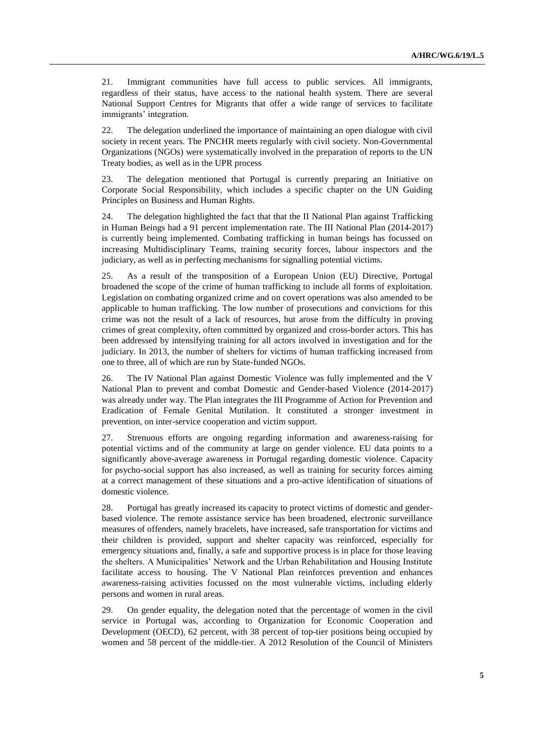21. Immigrant communities have full access to public services. All immigrants, regardless of their status, have access to the national health system. There are several National Support Centres for Migrants that offer a wide range of services to facilitate immigrants' integration.

22. The delegation underlined the importance of maintaining an open dialogue with civil society in recent years. The PNCHR meets regularly with civil society. Non-Governmental Organizations (NGOs) were systematically involved in the preparation of reports to the UN Treaty bodies, as well as in the UPR process

23. The delegation mentioned that Portugal is currently preparing an Initiative on Corporate Social Responsibility, which includes a specific chapter on the UN Guiding Principles on Business and Human Rights.

24. The delegation highlighted the fact that that the II National Plan against Trafficking in Human Beings had a 91 percent implementation rate. The III National Plan (2014-2017) is currently being implemented. Combating trafficking in human beings has focussed on increasing Multidisciplinary Teams, training security forces, labour inspectors and the judiciary, as well as in perfecting mechanisms for signalling potential victims.

25. As a result of the transposition of a European Union (EU) Directive, Portugal broadened the scope of the crime of human trafficking to include all forms of exploitation. Legislation on combating organized crime and on covert operations was also amended to be applicable to human trafficking. The low number of prosecutions and convictions for this crime was not the result of a lack of resources, but arose from the difficulty in proving crimes of great complexity, often committed by organized and cross-border actors. This has been addressed by intensifying training for all actors involved in investigation and for the judiciary. In 2013, the number of shelters for victims of human trafficking increased from one to three, all of which are run by State-funded NGOs.

26. The IV National Plan against Domestic Violence was fully implemented and the V National Plan to prevent and combat Domestic and Gender-based Violence (2014-2017) was already under way. The Plan integrates the III Programme of Action for Prevention and Eradication of Female Genital Mutilation. It constituted a stronger investment in prevention, on inter-service cooperation and victim support.

27. Strenuous efforts are ongoing regarding information and awareness-raising for potential victims and of the community at large on gender violence. EU data points to a significantly above-average awareness in Portugal regarding domestic violence. Capacity for psycho-social support has also increased, as well as training for security forces aiming at a correct management of these situations and a pro-active identification of situations of domestic violence.

28. Portugal has greatly increased its capacity to protect victims of domestic and genderbased violence. The remote assistance service has been broadened, electronic surveillance measures of offenders, namely bracelets, have increased, safe transportation for victims and their children is provided, support and shelter capacity was reinforced, especially for emergency situations and, finally, a safe and supportive process is in place for those leaving the shelters. A Municipalities' Network and the Urban Rehabilitation and Housing Institute facilitate access to housing. The V National Plan reinforces prevention and enhances awareness-raising activities focussed on the most vulnerable victims, including elderly persons and women in rural areas.

29. On gender equality, the delegation noted that the percentage of women in the civil service in Portugal was, according to Organization for Economic Cooperation and Development (OECD), 62 percent, with 38 percent of top-tier positions being occupied by women and 58 percent of the middle-tier. A 2012 Resolution of the Council of Ministers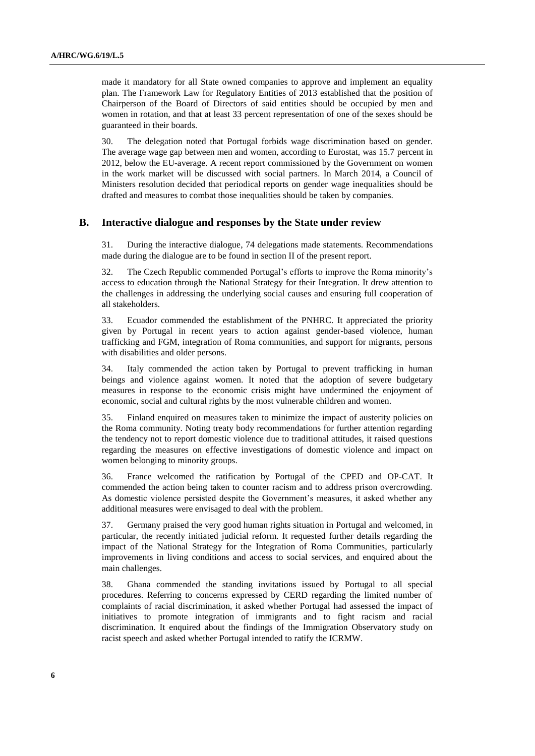made it mandatory for all State owned companies to approve and implement an equality plan. The Framework Law for Regulatory Entities of 2013 established that the position of Chairperson of the Board of Directors of said entities should be occupied by men and women in rotation, and that at least 33 percent representation of one of the sexes should be guaranteed in their boards.

30. The delegation noted that Portugal forbids wage discrimination based on gender. The average wage gap between men and women, according to Eurostat, was 15.7 percent in 2012, below the EU-average. A recent report commissioned by the Government on women in the work market will be discussed with social partners. In March 2014, a Council of Ministers resolution decided that periodical reports on gender wage inequalities should be drafted and measures to combat those inequalities should be taken by companies.

### **B. Interactive dialogue and responses by the State under review**

31. During the interactive dialogue, 74 delegations made statements. Recommendations made during the dialogue are to be found in section II of the present report.

32. The Czech Republic commended Portugal's efforts to improve the Roma minority's access to education through the National Strategy for their Integration. It drew attention to the challenges in addressing the underlying social causes and ensuring full cooperation of all stakeholders.

33. Ecuador commended the establishment of the PNHRC. It appreciated the priority given by Portugal in recent years to action against gender-based violence, human trafficking and FGM, integration of Roma communities, and support for migrants, persons with disabilities and older persons.

34. Italy commended the action taken by Portugal to prevent trafficking in human beings and violence against women. It noted that the adoption of severe budgetary measures in response to the economic crisis might have undermined the enjoyment of economic, social and cultural rights by the most vulnerable children and women.

35. Finland enquired on measures taken to minimize the impact of austerity policies on the Roma community. Noting treaty body recommendations for further attention regarding the tendency not to report domestic violence due to traditional attitudes, it raised questions regarding the measures on effective investigations of domestic violence and impact on women belonging to minority groups.

36. France welcomed the ratification by Portugal of the CPED and OP-CAT. It commended the action being taken to counter racism and to address prison overcrowding. As domestic violence persisted despite the Government's measures, it asked whether any additional measures were envisaged to deal with the problem.

37. Germany praised the very good human rights situation in Portugal and welcomed, in particular, the recently initiated judicial reform. It requested further details regarding the impact of the National Strategy for the Integration of Roma Communities, particularly improvements in living conditions and access to social services, and enquired about the main challenges.

38. Ghana commended the standing invitations issued by Portugal to all special procedures. Referring to concerns expressed by CERD regarding the limited number of complaints of racial discrimination, it asked whether Portugal had assessed the impact of initiatives to promote integration of immigrants and to fight racism and racial discrimination. It enquired about the findings of the Immigration Observatory study on racist speech and asked whether Portugal intended to ratify the ICRMW.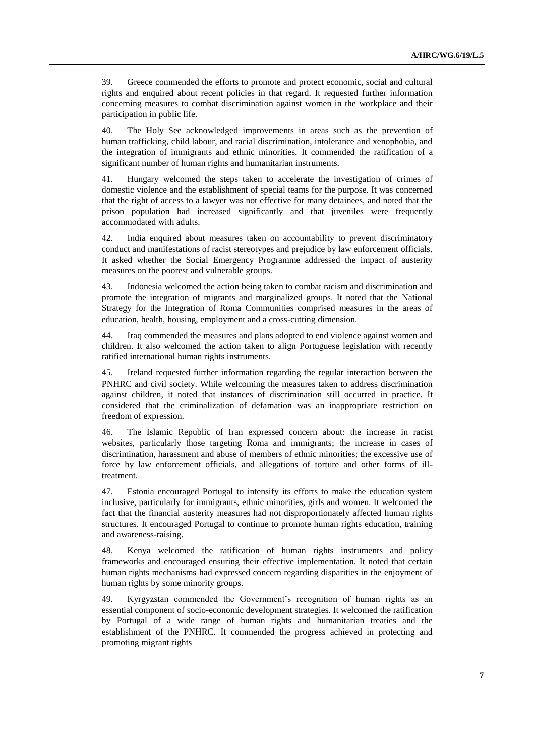39. Greece commended the efforts to promote and protect economic, social and cultural rights and enquired about recent policies in that regard. It requested further information concerning measures to combat discrimination against women in the workplace and their participation in public life.

40. The Holy See acknowledged improvements in areas such as the prevention of human trafficking, child labour, and racial discrimination, intolerance and xenophobia, and the integration of immigrants and ethnic minorities. It commended the ratification of a significant number of human rights and humanitarian instruments.

41. Hungary welcomed the steps taken to accelerate the investigation of crimes of domestic violence and the establishment of special teams for the purpose. It was concerned that the right of access to a lawyer was not effective for many detainees, and noted that the prison population had increased significantly and that juveniles were frequently accommodated with adults.

42. India enquired about measures taken on accountability to prevent discriminatory conduct and manifestations of racist stereotypes and prejudice by law enforcement officials. It asked whether the Social Emergency Programme addressed the impact of austerity measures on the poorest and vulnerable groups.

43. Indonesia welcomed the action being taken to combat racism and discrimination and promote the integration of migrants and marginalized groups. It noted that the National Strategy for the Integration of Roma Communities comprised measures in the areas of education, health, housing, employment and a cross-cutting dimension.

44. Iraq commended the measures and plans adopted to end violence against women and children. It also welcomed the action taken to align Portuguese legislation with recently ratified international human rights instruments.

45. Ireland requested further information regarding the regular interaction between the PNHRC and civil society. While welcoming the measures taken to address discrimination against children, it noted that instances of discrimination still occurred in practice. It considered that the criminalization of defamation was an inappropriate restriction on freedom of expression.

46. The Islamic Republic of Iran expressed concern about: the increase in racist websites, particularly those targeting Roma and immigrants; the increase in cases of discrimination, harassment and abuse of members of ethnic minorities; the excessive use of force by law enforcement officials, and allegations of torture and other forms of illtreatment.

47. Estonia encouraged Portugal to intensify its efforts to make the education system inclusive, particularly for immigrants, ethnic minorities, girls and women. It welcomed the fact that the financial austerity measures had not disproportionately affected human rights structures. It encouraged Portugal to continue to promote human rights education, training and awareness-raising.

48. Kenya welcomed the ratification of human rights instruments and policy frameworks and encouraged ensuring their effective implementation. It noted that certain human rights mechanisms had expressed concern regarding disparities in the enjoyment of human rights by some minority groups.

49. Kyrgyzstan commended the Government's recognition of human rights as an essential component of socio-economic development strategies. It welcomed the ratification by Portugal of a wide range of human rights and humanitarian treaties and the establishment of the PNHRC. It commended the progress achieved in protecting and promoting migrant rights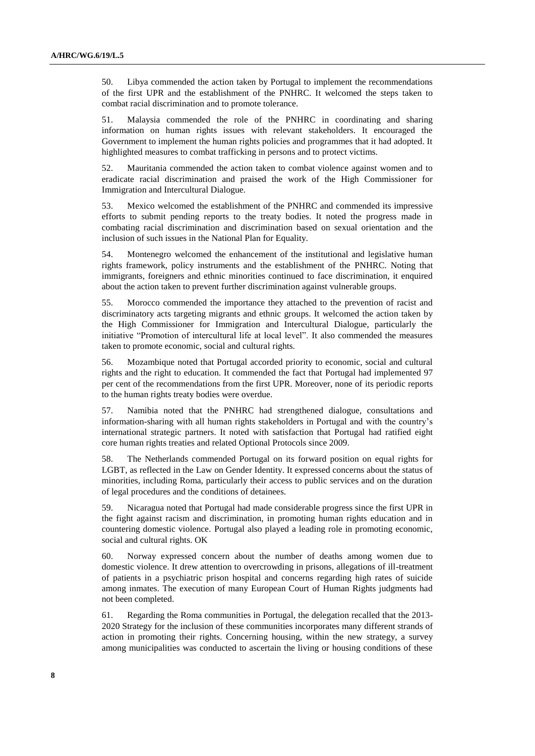50. Libya commended the action taken by Portugal to implement the recommendations of the first UPR and the establishment of the PNHRC. It welcomed the steps taken to combat racial discrimination and to promote tolerance.

51. Malaysia commended the role of the PNHRC in coordinating and sharing information on human rights issues with relevant stakeholders. It encouraged the Government to implement the human rights policies and programmes that it had adopted. It highlighted measures to combat trafficking in persons and to protect victims.

52. Mauritania commended the action taken to combat violence against women and to eradicate racial discrimination and praised the work of the High Commissioner for Immigration and Intercultural Dialogue.

53. Mexico welcomed the establishment of the PNHRC and commended its impressive efforts to submit pending reports to the treaty bodies. It noted the progress made in combating racial discrimination and discrimination based on sexual orientation and the inclusion of such issues in the National Plan for Equality.

54. Montenegro welcomed the enhancement of the institutional and legislative human rights framework, policy instruments and the establishment of the PNHRC. Noting that immigrants, foreigners and ethnic minorities continued to face discrimination, it enquired about the action taken to prevent further discrimination against vulnerable groups.

55. Morocco commended the importance they attached to the prevention of racist and discriminatory acts targeting migrants and ethnic groups. It welcomed the action taken by the High Commissioner for Immigration and Intercultural Dialogue, particularly the initiative "Promotion of intercultural life at local level". It also commended the measures taken to promote economic, social and cultural rights.

56. Mozambique noted that Portugal accorded priority to economic, social and cultural rights and the right to education. It commended the fact that Portugal had implemented 97 per cent of the recommendations from the first UPR. Moreover, none of its periodic reports to the human rights treaty bodies were overdue.

57. Namibia noted that the PNHRC had strengthened dialogue, consultations and information-sharing with all human rights stakeholders in Portugal and with the country's international strategic partners. It noted with satisfaction that Portugal had ratified eight core human rights treaties and related Optional Protocols since 2009.

58. The Netherlands commended Portugal on its forward position on equal rights for LGBT, as reflected in the Law on Gender Identity. It expressed concerns about the status of minorities, including Roma, particularly their access to public services and on the duration of legal procedures and the conditions of detainees.

59. Nicaragua noted that Portugal had made considerable progress since the first UPR in the fight against racism and discrimination, in promoting human rights education and in countering domestic violence. Portugal also played a leading role in promoting economic, social and cultural rights. OK

60. Norway expressed concern about the number of deaths among women due to domestic violence. It drew attention to overcrowding in prisons, allegations of ill-treatment of patients in a psychiatric prison hospital and concerns regarding high rates of suicide among inmates. The execution of many European Court of Human Rights judgments had not been completed.

61. Regarding the Roma communities in Portugal, the delegation recalled that the 2013- 2020 Strategy for the inclusion of these communities incorporates many different strands of action in promoting their rights. Concerning housing, within the new strategy, a survey among municipalities was conducted to ascertain the living or housing conditions of these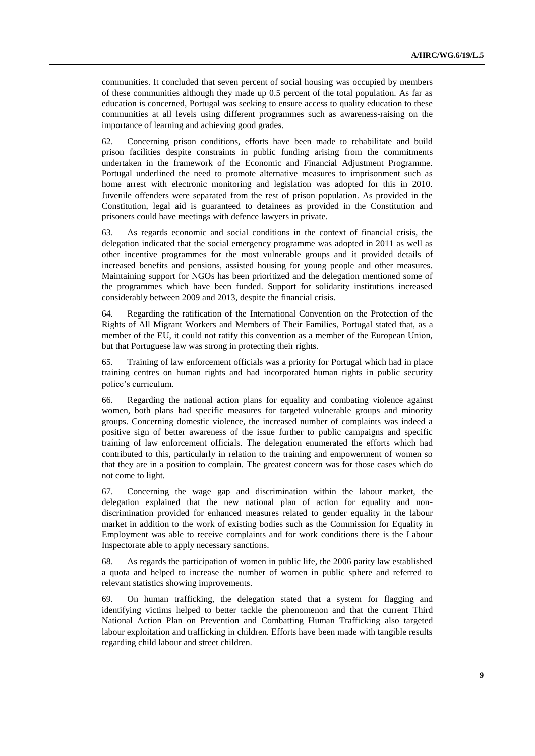communities. It concluded that seven percent of social housing was occupied by members of these communities although they made up 0.5 percent of the total population. As far as education is concerned, Portugal was seeking to ensure access to quality education to these communities at all levels using different programmes such as awareness-raising on the importance of learning and achieving good grades.

62. Concerning prison conditions, efforts have been made to rehabilitate and build prison facilities despite constraints in public funding arising from the commitments undertaken in the framework of the Economic and Financial Adjustment Programme. Portugal underlined the need to promote alternative measures to imprisonment such as home arrest with electronic monitoring and legislation was adopted for this in 2010. Juvenile offenders were separated from the rest of prison population. As provided in the Constitution, legal aid is guaranteed to detainees as provided in the Constitution and prisoners could have meetings with defence lawyers in private.

63. As regards economic and social conditions in the context of financial crisis, the delegation indicated that the social emergency programme was adopted in 2011 as well as other incentive programmes for the most vulnerable groups and it provided details of increased benefits and pensions, assisted housing for young people and other measures. Maintaining support for NGOs has been prioritized and the delegation mentioned some of the programmes which have been funded. Support for solidarity institutions increased considerably between 2009 and 2013, despite the financial crisis.

64. Regarding the ratification of the International Convention on the Protection of the Rights of All Migrant Workers and Members of Their Families, Portugal stated that, as a member of the EU, it could not ratify this convention as a member of the European Union, but that Portuguese law was strong in protecting their rights.

65. Training of law enforcement officials was a priority for Portugal which had in place training centres on human rights and had incorporated human rights in public security police's curriculum.

66. Regarding the national action plans for equality and combating violence against women, both plans had specific measures for targeted vulnerable groups and minority groups. Concerning domestic violence, the increased number of complaints was indeed a positive sign of better awareness of the issue further to public campaigns and specific training of law enforcement officials. The delegation enumerated the efforts which had contributed to this, particularly in relation to the training and empowerment of women so that they are in a position to complain. The greatest concern was for those cases which do not come to light.

67. Concerning the wage gap and discrimination within the labour market, the delegation explained that the new national plan of action for equality and nondiscrimination provided for enhanced measures related to gender equality in the labour market in addition to the work of existing bodies such as the Commission for Equality in Employment was able to receive complaints and for work conditions there is the Labour Inspectorate able to apply necessary sanctions.

68. As regards the participation of women in public life, the 2006 parity law established a quota and helped to increase the number of women in public sphere and referred to relevant statistics showing improvements.

69. On human trafficking, the delegation stated that a system for flagging and identifying victims helped to better tackle the phenomenon and that the current Third National Action Plan on Prevention and Combatting Human Trafficking also targeted labour exploitation and trafficking in children. Efforts have been made with tangible results regarding child labour and street children.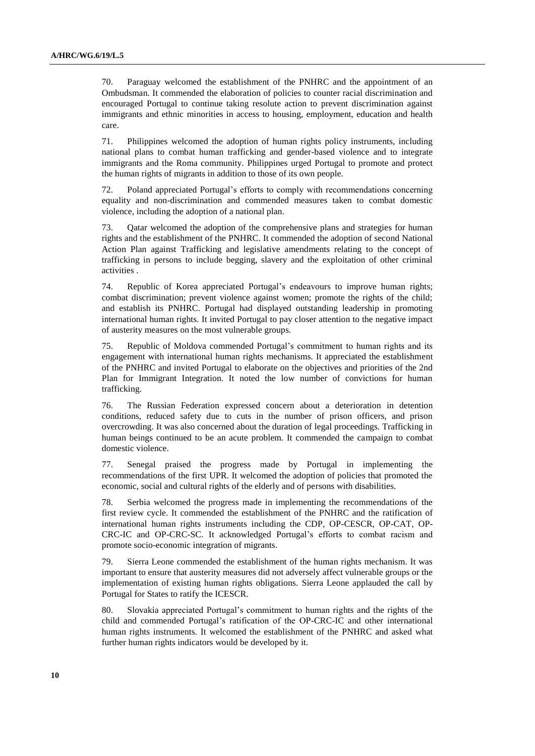70. Paraguay welcomed the establishment of the PNHRC and the appointment of an Ombudsman. It commended the elaboration of policies to counter racial discrimination and encouraged Portugal to continue taking resolute action to prevent discrimination against immigrants and ethnic minorities in access to housing, employment, education and health care.

71. Philippines welcomed the adoption of human rights policy instruments, including national plans to combat human trafficking and gender-based violence and to integrate immigrants and the Roma community. Philippines urged Portugal to promote and protect the human rights of migrants in addition to those of its own people.

72. Poland appreciated Portugal's efforts to comply with recommendations concerning equality and non-discrimination and commended measures taken to combat domestic violence, including the adoption of a national plan.

73. Qatar welcomed the adoption of the comprehensive plans and strategies for human rights and the establishment of the PNHRC. It commended the adoption of second National Action Plan against Trafficking and legislative amendments relating to the concept of trafficking in persons to include begging, slavery and the exploitation of other criminal activities .

74. Republic of Korea appreciated Portugal's endeavours to improve human rights; combat discrimination; prevent violence against women; promote the rights of the child; and establish its PNHRC. Portugal had displayed outstanding leadership in promoting international human rights. It invited Portugal to pay closer attention to the negative impact of austerity measures on the most vulnerable groups.

75. Republic of Moldova commended Portugal's commitment to human rights and its engagement with international human rights mechanisms. It appreciated the establishment of the PNHRC and invited Portugal to elaborate on the objectives and priorities of the 2nd Plan for Immigrant Integration. It noted the low number of convictions for human trafficking.

76. The Russian Federation expressed concern about a deterioration in detention conditions, reduced safety due to cuts in the number of prison officers, and prison overcrowding. It was also concerned about the duration of legal proceedings. Trafficking in human beings continued to be an acute problem. It commended the campaign to combat domestic violence.

77. Senegal praised the progress made by Portugal in implementing the recommendations of the first UPR. It welcomed the adoption of policies that promoted the economic, social and cultural rights of the elderly and of persons with disabilities.

78. Serbia welcomed the progress made in implementing the recommendations of the first review cycle. It commended the establishment of the PNHRC and the ratification of international human rights instruments including the CDP, OP-CESCR, OP-CAT, OP-CRC-IC and OP-CRC-SC. It acknowledged Portugal's efforts to combat racism and promote socio-economic integration of migrants.

79. Sierra Leone commended the establishment of the human rights mechanism. It was important to ensure that austerity measures did not adversely affect vulnerable groups or the implementation of existing human rights obligations. Sierra Leone applauded the call by Portugal for States to ratify the ICESCR.

80. Slovakia appreciated Portugal's commitment to human rights and the rights of the child and commended Portugal's ratification of the OP-CRC-IC and other international human rights instruments. It welcomed the establishment of the PNHRC and asked what further human rights indicators would be developed by it.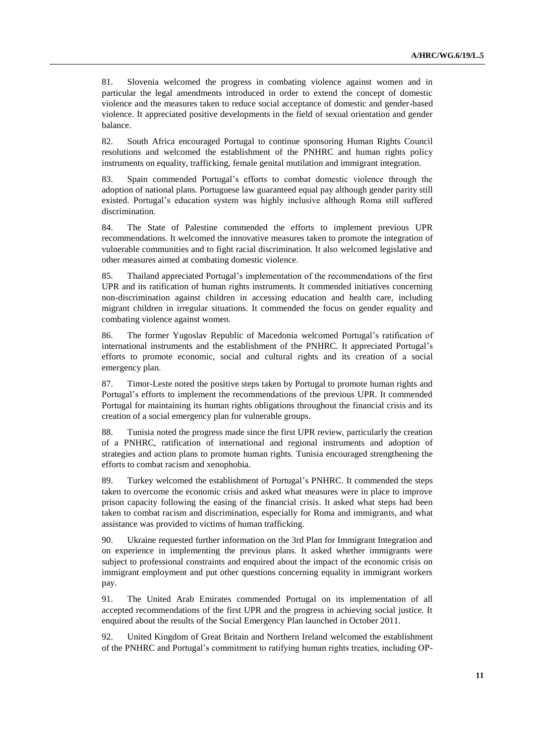81. Slovenia welcomed the progress in combating violence against women and in particular the legal amendments introduced in order to extend the concept of domestic violence and the measures taken to reduce social acceptance of domestic and gender-based violence. It appreciated positive developments in the field of sexual orientation and gender balance.

82. South Africa encouraged Portugal to continue sponsoring Human Rights Council resolutions and welcomed the establishment of the PNHRC and human rights policy instruments on equality, trafficking, female genital mutilation and immigrant integration.

83. Spain commended Portugal's efforts to combat domestic violence through the adoption of national plans. Portuguese law guaranteed equal pay although gender parity still existed. Portugal's education system was highly inclusive although Roma still suffered discrimination.

84. The State of Palestine commended the efforts to implement previous UPR recommendations. It welcomed the innovative measures taken to promote the integration of vulnerable communities and to fight racial discrimination. It also welcomed legislative and other measures aimed at combating domestic violence.

85. Thailand appreciated Portugal's implementation of the recommendations of the first UPR and its ratification of human rights instruments. It commended initiatives concerning non-discrimination against children in accessing education and health care, including migrant children in irregular situations. It commended the focus on gender equality and combating violence against women.

86. The former Yugoslav Republic of Macedonia welcomed Portugal's ratification of international instruments and the establishment of the PNHRC. It appreciated Portugal's efforts to promote economic, social and cultural rights and its creation of a social emergency plan.

87. Timor-Leste noted the positive steps taken by Portugal to promote human rights and Portugal's efforts to implement the recommendations of the previous UPR. It commended Portugal for maintaining its human rights obligations throughout the financial crisis and its creation of a social emergency plan for vulnerable groups.

88. Tunisia noted the progress made since the first UPR review, particularly the creation of a PNHRC, ratification of international and regional instruments and adoption of strategies and action plans to promote human rights. Tunisia encouraged strengthening the efforts to combat racism and xenophobia.

89. Turkey welcomed the establishment of Portugal's PNHRC. It commended the steps taken to overcome the economic crisis and asked what measures were in place to improve prison capacity following the easing of the financial crisis. It asked what steps had been taken to combat racism and discrimination, especially for Roma and immigrants, and what assistance was provided to victims of human trafficking.

90. Ukraine requested further information on the 3rd Plan for Immigrant Integration and on experience in implementing the previous plans. It asked whether immigrants were subject to professional constraints and enquired about the impact of the economic crisis on immigrant employment and put other questions concerning equality in immigrant workers pay.

91. The United Arab Emirates commended Portugal on its implementation of all accepted recommendations of the first UPR and the progress in achieving social justice. It enquired about the results of the Social Emergency Plan launched in October 2011.

92. United Kingdom of Great Britain and Northern Ireland welcomed the establishment of the PNHRC and Portugal's commitment to ratifying human rights treaties, including OP-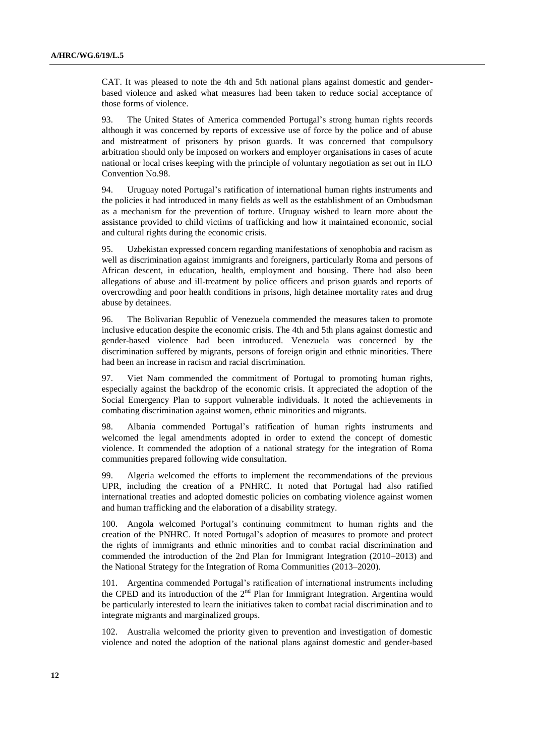CAT. It was pleased to note the 4th and 5th national plans against domestic and genderbased violence and asked what measures had been taken to reduce social acceptance of those forms of violence.

93. The United States of America commended Portugal's strong human rights records although it was concerned by reports of excessive use of force by the police and of abuse and mistreatment of prisoners by prison guards. It was concerned that compulsory arbitration should only be imposed on workers and employer organisations in cases of acute national or local crises keeping with the principle of voluntary negotiation as set out in ILO Convention No.98.

94. Uruguay noted Portugal's ratification of international human rights instruments and the policies it had introduced in many fields as well as the establishment of an Ombudsman as a mechanism for the prevention of torture. Uruguay wished to learn more about the assistance provided to child victims of trafficking and how it maintained economic, social and cultural rights during the economic crisis.

95. Uzbekistan expressed concern regarding manifestations of xenophobia and racism as well as discrimination against immigrants and foreigners, particularly Roma and persons of African descent, in education, health, employment and housing. There had also been allegations of abuse and ill-treatment by police officers and prison guards and reports of overcrowding and poor health conditions in prisons, high detainee mortality rates and drug abuse by detainees.

96. The Bolivarian Republic of Venezuela commended the measures taken to promote inclusive education despite the economic crisis. The 4th and 5th plans against domestic and gender-based violence had been introduced. Venezuela was concerned by the discrimination suffered by migrants, persons of foreign origin and ethnic minorities. There had been an increase in racism and racial discrimination.

97. Viet Nam commended the commitment of Portugal to promoting human rights, especially against the backdrop of the economic crisis. It appreciated the adoption of the Social Emergency Plan to support vulnerable individuals. It noted the achievements in combating discrimination against women, ethnic minorities and migrants.

98. Albania commended Portugal's ratification of human rights instruments and welcomed the legal amendments adopted in order to extend the concept of domestic violence. It commended the adoption of a national strategy for the integration of Roma communities prepared following wide consultation.

99. Algeria welcomed the efforts to implement the recommendations of the previous UPR, including the creation of a PNHRC. It noted that Portugal had also ratified international treaties and adopted domestic policies on combating violence against women and human trafficking and the elaboration of a disability strategy.

100. Angola welcomed Portugal's continuing commitment to human rights and the creation of the PNHRC. It noted Portugal's adoption of measures to promote and protect the rights of immigrants and ethnic minorities and to combat racial discrimination and commended the introduction of the 2nd Plan for Immigrant Integration (2010–2013) and the National Strategy for the Integration of Roma Communities (2013–2020).

101. Argentina commended Portugal's ratification of international instruments including the CPED and its introduction of the  $2<sup>nd</sup>$  Plan for Immigrant Integration. Argentina would be particularly interested to learn the initiatives taken to combat racial discrimination and to integrate migrants and marginalized groups.

102. Australia welcomed the priority given to prevention and investigation of domestic violence and noted the adoption of the national plans against domestic and gender-based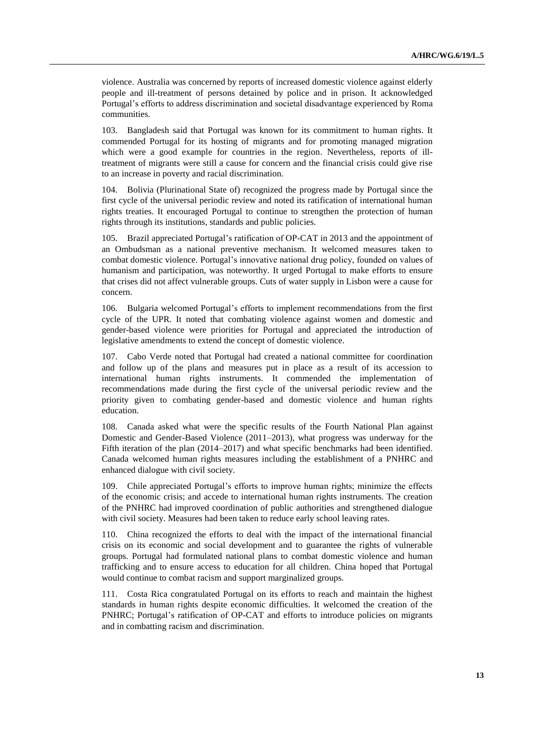violence. Australia was concerned by reports of increased domestic violence against elderly people and ill-treatment of persons detained by police and in prison. It acknowledged Portugal's efforts to address discrimination and societal disadvantage experienced by Roma communities.

103. Bangladesh said that Portugal was known for its commitment to human rights. It commended Portugal for its hosting of migrants and for promoting managed migration which were a good example for countries in the region. Nevertheless, reports of illtreatment of migrants were still a cause for concern and the financial crisis could give rise to an increase in poverty and racial discrimination.

104. Bolivia (Plurinational State of) recognized the progress made by Portugal since the first cycle of the universal periodic review and noted its ratification of international human rights treaties. It encouraged Portugal to continue to strengthen the protection of human rights through its institutions, standards and public policies.

105. Brazil appreciated Portugal's ratification of OP-CAT in 2013 and the appointment of an Ombudsman as a national preventive mechanism. It welcomed measures taken to combat domestic violence. Portugal's innovative national drug policy, founded on values of humanism and participation, was noteworthy. It urged Portugal to make efforts to ensure that crises did not affect vulnerable groups. Cuts of water supply in Lisbon were a cause for concern.

106. Bulgaria welcomed Portugal's efforts to implement recommendations from the first cycle of the UPR. It noted that combating violence against women and domestic and gender-based violence were priorities for Portugal and appreciated the introduction of legislative amendments to extend the concept of domestic violence.

107. Cabo Verde noted that Portugal had created a national committee for coordination and follow up of the plans and measures put in place as a result of its accession to international human rights instruments. It commended the implementation of recommendations made during the first cycle of the universal periodic review and the priority given to combating gender-based and domestic violence and human rights education.

108. Canada asked what were the specific results of the Fourth National Plan against Domestic and Gender-Based Violence (2011–2013), what progress was underway for the Fifth iteration of the plan (2014–2017) and what specific benchmarks had been identified. Canada welcomed human rights measures including the establishment of a PNHRC and enhanced dialogue with civil society.

109. Chile appreciated Portugal's efforts to improve human rights; minimize the effects of the economic crisis; and accede to international human rights instruments. The creation of the PNHRC had improved coordination of public authorities and strengthened dialogue with civil society. Measures had been taken to reduce early school leaving rates.

110. China recognized the efforts to deal with the impact of the international financial crisis on its economic and social development and to guarantee the rights of vulnerable groups. Portugal had formulated national plans to combat domestic violence and human trafficking and to ensure access to education for all children. China hoped that Portugal would continue to combat racism and support marginalized groups.

111. Costa Rica congratulated Portugal on its efforts to reach and maintain the highest standards in human rights despite economic difficulties. It welcomed the creation of the PNHRC; Portugal's ratification of OP-CAT and efforts to introduce policies on migrants and in combatting racism and discrimination.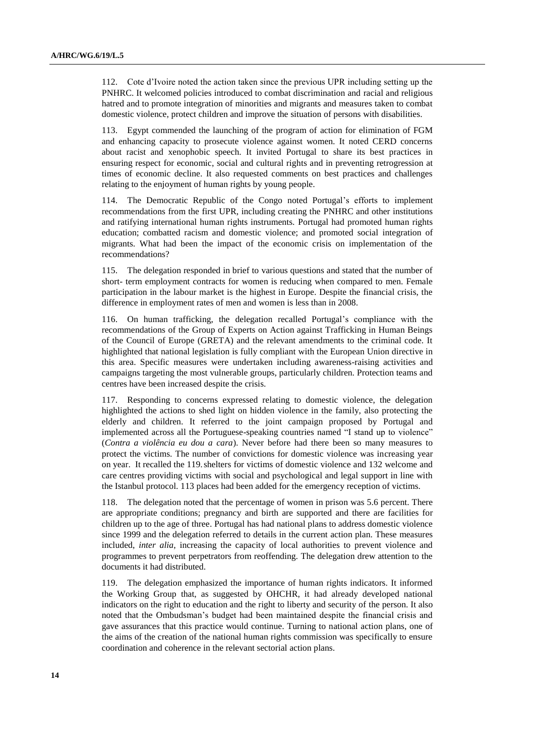112. Cote d'Ivoire noted the action taken since the previous UPR including setting up the PNHRC. It welcomed policies introduced to combat discrimination and racial and religious hatred and to promote integration of minorities and migrants and measures taken to combat domestic violence, protect children and improve the situation of persons with disabilities.

113. Egypt commended the launching of the program of action for elimination of FGM and enhancing capacity to prosecute violence against women. It noted CERD concerns about racist and xenophobic speech. It invited Portugal to share its best practices in ensuring respect for economic, social and cultural rights and in preventing retrogression at times of economic decline. It also requested comments on best practices and challenges relating to the enjoyment of human rights by young people.

114. The Democratic Republic of the Congo noted Portugal's efforts to implement recommendations from the first UPR, including creating the PNHRC and other institutions and ratifying international human rights instruments. Portugal had promoted human rights education; combatted racism and domestic violence; and promoted social integration of migrants. What had been the impact of the economic crisis on implementation of the recommendations?

115. The delegation responded in brief to various questions and stated that the number of short- term employment contracts for women is reducing when compared to men. Female participation in the labour market is the highest in Europe. Despite the financial crisis, the difference in employment rates of men and women is less than in 2008.

116. On human trafficking, the delegation recalled Portugal's compliance with the recommendations of the Group of Experts on Action against Trafficking in Human Beings of the Council of Europe (GRETA) and the relevant amendments to the criminal code. It highlighted that national legislation is fully compliant with the European Union directive in this area. Specific measures were undertaken including awareness-raising activities and campaigns targeting the most vulnerable groups, particularly children. Protection teams and centres have been increased despite the crisis.

117. Responding to concerns expressed relating to domestic violence, the delegation highlighted the actions to shed light on hidden violence in the family, also protecting the elderly and children. It referred to the joint campaign proposed by Portugal and implemented across all the Portuguese-speaking countries named "I stand up to violence" (*Contra a violência eu dou a cara*). Never before had there been so many measures to protect the victims. The number of convictions for domestic violence was increasing year on year. It recalled the 119.shelters for victims of domestic violence and 132 welcome and care centres providing victims with social and psychological and legal support in line with the Istanbul protocol. 113 places had been added for the emergency reception of victims.

118. The delegation noted that the percentage of women in prison was 5.6 percent. There are appropriate conditions; pregnancy and birth are supported and there are facilities for children up to the age of three. Portugal has had national plans to address domestic violence since 1999 and the delegation referred to details in the current action plan. These measures included, *inter alia*, increasing the capacity of local authorities to prevent violence and programmes to prevent perpetrators from reoffending. The delegation drew attention to the documents it had distributed.

119. The delegation emphasized the importance of human rights indicators. It informed the Working Group that, as suggested by OHCHR, it had already developed national indicators on the right to education and the right to liberty and security of the person. It also noted that the Ombudsman's budget had been maintained despite the financial crisis and gave assurances that this practice would continue. Turning to national action plans, one of the aims of the creation of the national human rights commission was specifically to ensure coordination and coherence in the relevant sectorial action plans.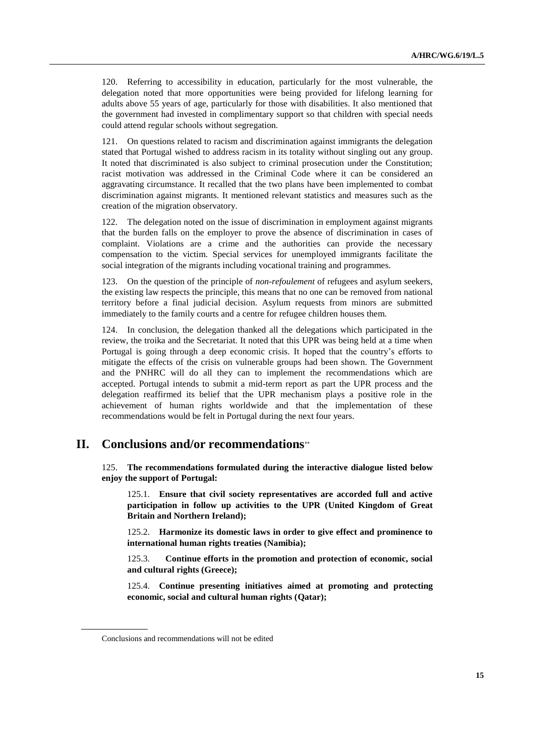120. Referring to accessibility in education, particularly for the most vulnerable, the delegation noted that more opportunities were being provided for lifelong learning for adults above 55 years of age, particularly for those with disabilities. It also mentioned that the government had invested in complimentary support so that children with special needs could attend regular schools without segregation.

121. On questions related to racism and discrimination against immigrants the delegation stated that Portugal wished to address racism in its totality without singling out any group. It noted that discriminated is also subject to criminal prosecution under the Constitution; racist motivation was addressed in the Criminal Code where it can be considered an aggravating circumstance. It recalled that the two plans have been implemented to combat discrimination against migrants. It mentioned relevant statistics and measures such as the creation of the migration observatory.

122. The delegation noted on the issue of discrimination in employment against migrants that the burden falls on the employer to prove the absence of discrimination in cases of complaint. Violations are a crime and the authorities can provide the necessary compensation to the victim. Special services for unemployed immigrants facilitate the social integration of the migrants including vocational training and programmes.

123. On the question of the principle of *non-refoulement* of refugees and asylum seekers, the existing law respects the principle, this means that no one can be removed from national territory before a final judicial decision. Asylum requests from minors are submitted immediately to the family courts and a centre for refugee children houses them.

124. In conclusion, the delegation thanked all the delegations which participated in the review, the troika and the Secretariat. It noted that this UPR was being held at a time when Portugal is going through a deep economic crisis. It hoped that the country's efforts to mitigate the effects of the crisis on vulnerable groups had been shown. The Government and the PNHRC will do all they can to implement the recommendations which are accepted. Portugal intends to submit a mid-term report as part the UPR process and the delegation reaffirmed its belief that the UPR mechanism plays a positive role in the achievement of human rights worldwide and that the implementation of these recommendations would be felt in Portugal during the next four years.

## **II. Conclusions and/or recommendations**

125. **The recommendations formulated during the interactive dialogue listed below enjoy the support of Portugal:**

125.1. **Ensure that civil society representatives are accorded full and active participation in follow up activities to the UPR (United Kingdom of Great Britain and Northern Ireland);**

125.2. **Harmonize its domestic laws in order to give effect and prominence to international human rights treaties (Namibia);**

125.3. **Continue efforts in the promotion and protection of economic, social and cultural rights (Greece);**

125.4. **Continue presenting initiatives aimed at promoting and protecting economic, social and cultural human rights (Qatar);**

Conclusions and recommendations will not be edited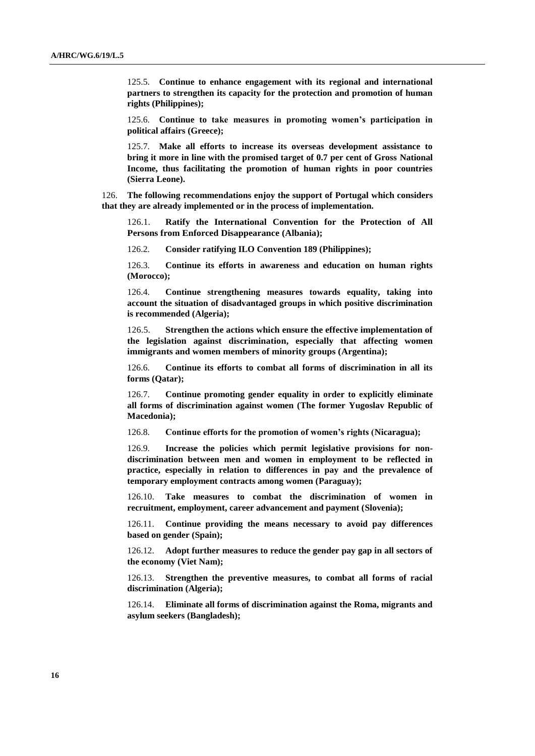125.5. **Continue to enhance engagement with its regional and international partners to strengthen its capacity for the protection and promotion of human rights (Philippines);**

125.6. **Continue to take measures in promoting women's participation in political affairs (Greece);**

125.7. **Make all efforts to increase its overseas development assistance to bring it more in line with the promised target of 0.7 per cent of Gross National Income, thus facilitating the promotion of human rights in poor countries (Sierra Leone).**

126. **The following recommendations enjoy the support of Portugal which considers that they are already implemented or in the process of implementation.**

126.1. **Ratify the International Convention for the Protection of All Persons from Enforced Disappearance (Albania);**

126.2. **Consider ratifying ILO Convention 189 (Philippines);**

126.3. **Continue its efforts in awareness and education on human rights (Morocco);**

126.4. **Continue strengthening measures towards equality, taking into account the situation of disadvantaged groups in which positive discrimination is recommended (Algeria);**

126.5. **Strengthen the actions which ensure the effective implementation of the legislation against discrimination, especially that affecting women immigrants and women members of minority groups (Argentina);**

126.6. **Continue its efforts to combat all forms of discrimination in all its forms (Qatar);**

126.7. **Continue promoting gender equality in order to explicitly eliminate all forms of discrimination against women (The former Yugoslav Republic of Macedonia);**

126.8. **Continue efforts for the promotion of women's rights (Nicaragua);**

126.9. **Increase the policies which permit legislative provisions for nondiscrimination between men and women in employment to be reflected in practice, especially in relation to differences in pay and the prevalence of temporary employment contracts among women (Paraguay);**

126.10. **Take measures to combat the discrimination of women in recruitment, employment, career advancement and payment (Slovenia);**

126.11. **Continue providing the means necessary to avoid pay differences based on gender (Spain);**

126.12. **Adopt further measures to reduce the gender pay gap in all sectors of the economy (Viet Nam);**

126.13. **Strengthen the preventive measures, to combat all forms of racial discrimination (Algeria);**

126.14. **Eliminate all forms of discrimination against the Roma, migrants and asylum seekers (Bangladesh);**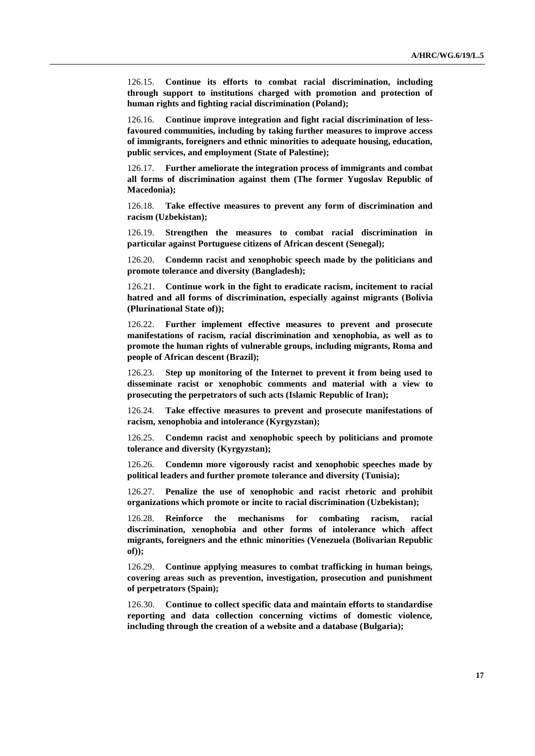126.15. **Continue its efforts to combat racial discrimination, including through support to institutions charged with promotion and protection of human rights and fighting racial discrimination (Poland);**

126.16. **Continue improve integration and fight racial discrimination of lessfavoured communities, including by taking further measures to improve access of immigrants, foreigners and ethnic minorities to adequate housing, education, public services, and employment (State of Palestine);**

126.17. **Further ameliorate the integration process of immigrants and combat all forms of discrimination against them (The former Yugoslav Republic of Macedonia);**

126.18. **Take effective measures to prevent any form of discrimination and racism (Uzbekistan);**

126.19. **Strengthen the measures to combat racial discrimination in particular against Portuguese citizens of African descent (Senegal);**

126.20. **Condemn racist and xenophobic speech made by the politicians and promote tolerance and diversity (Bangladesh);**

126.21. **Continue work in the fight to eradicate racism, incitement to racial hatred and all forms of discrimination, especially against migrants (Bolivia (Plurinational State of));**

126.22. **Further implement effective measures to prevent and prosecute manifestations of racism, racial discrimination and xenophobia, as well as to promote the human rights of vulnerable groups, including migrants, Roma and people of African descent (Brazil);**

126.23. **Step up monitoring of the Internet to prevent it from being used to disseminate racist or xenophobic comments and material with a view to prosecuting the perpetrators of such acts (Islamic Republic of Iran);**

126.24. **Take effective measures to prevent and prosecute manifestations of racism, xenophobia and intolerance (Kyrgyzstan);**

126.25. **Condemn racist and xenophobic speech by politicians and promote tolerance and diversity (Kyrgyzstan);**

126.26. **Condemn more vigorously racist and xenophobic speeches made by political leaders and further promote tolerance and diversity (Tunisia);**

126.27. **Penalize the use of xenophobic and racist rhetoric and prohibit organizations which promote or incite to racial discrimination (Uzbekistan);**

126.28. **Reinforce the mechanisms for combating racism, racial discrimination, xenophobia and other forms of intolerance which affect migrants, foreigners and the ethnic minorities (Venezuela (Bolivarian Republic of));**

126.29. **Continue applying measures to combat trafficking in human beings, covering areas such as prevention, investigation, prosecution and punishment of perpetrators (Spain);**

126.30. **Continue to collect specific data and maintain efforts to standardise reporting and data collection concerning victims of domestic violence, including through the creation of a website and a database (Bulgaria);**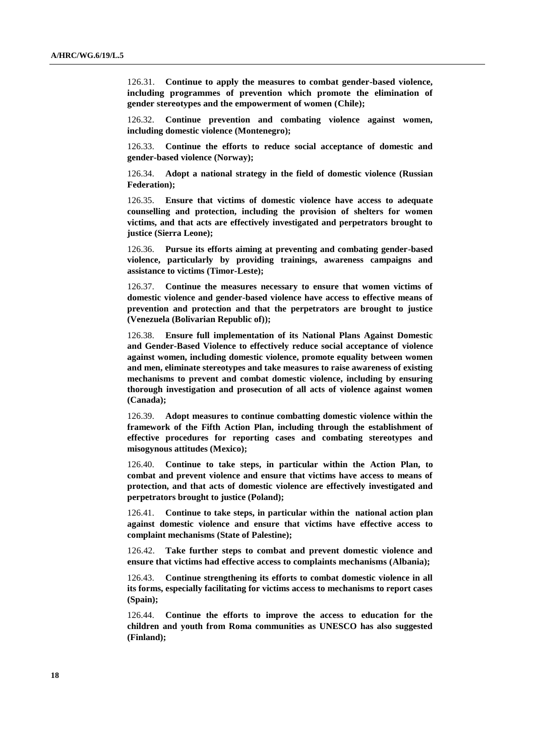126.31. **Continue to apply the measures to combat gender-based violence, including programmes of prevention which promote the elimination of gender stereotypes and the empowerment of women (Chile);**

126.32. **Continue prevention and combating violence against women, including domestic violence (Montenegro);**

126.33. **Continue the efforts to reduce social acceptance of domestic and gender-based violence (Norway);**

126.34. **Adopt a national strategy in the field of domestic violence (Russian Federation);**

126.35. **Ensure that victims of domestic violence have access to adequate counselling and protection, including the provision of shelters for women victims, and that acts are effectively investigated and perpetrators brought to justice (Sierra Leone);**

126.36. **Pursue its efforts aiming at preventing and combating gender-based violence, particularly by providing trainings, awareness campaigns and assistance to victims (Timor-Leste);**

126.37. **Continue the measures necessary to ensure that women victims of domestic violence and gender-based violence have access to effective means of prevention and protection and that the perpetrators are brought to justice (Venezuela (Bolivarian Republic of));**

126.38. **Ensure full implementation of its National Plans Against Domestic and Gender-Based Violence to effectively reduce social acceptance of violence against women, including domestic violence, promote equality between women and men, eliminate stereotypes and take measures to raise awareness of existing mechanisms to prevent and combat domestic violence, including by ensuring thorough investigation and prosecution of all acts of violence against women (Canada);**

126.39. **Adopt measures to continue combatting domestic violence within the framework of the Fifth Action Plan, including through the establishment of effective procedures for reporting cases and combating stereotypes and misogynous attitudes (Mexico);** 

126.40. **Continue to take steps, in particular within the Action Plan, to combat and prevent violence and ensure that victims have access to means of protection, and that acts of domestic violence are effectively investigated and perpetrators brought to justice (Poland);**

126.41. **Continue to take steps, in particular within the national action plan against domestic violence and ensure that victims have effective access to complaint mechanisms (State of Palestine);**

126.42. **Take further steps to combat and prevent domestic violence and ensure that victims had effective access to complaints mechanisms (Albania);**

126.43. **Continue strengthening its efforts to combat domestic violence in all its forms, especially facilitating for victims access to mechanisms to report cases (Spain);**

126.44. **Continue the efforts to improve the access to education for the children and youth from Roma communities as UNESCO has also suggested (Finland);**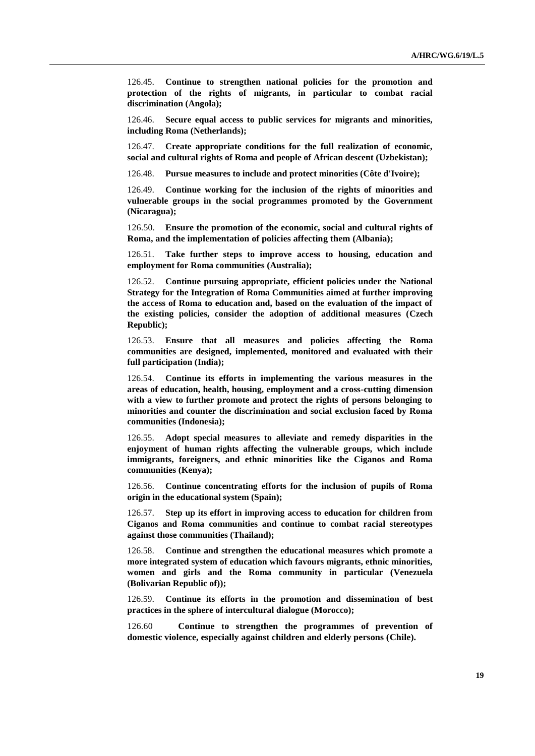126.45. **Continue to strengthen national policies for the promotion and protection of the rights of migrants, in particular to combat racial discrimination (Angola);**

126.46. **Secure equal access to public services for migrants and minorities, including Roma (Netherlands);**

126.47. **Create appropriate conditions for the full realization of economic, social and cultural rights of Roma and people of African descent (Uzbekistan);**

126.48. **Pursue measures to include and protect minorities (Côte d'Ivoire);**

126.49. **Continue working for the inclusion of the rights of minorities and vulnerable groups in the social programmes promoted by the Government (Nicaragua);**

126.50. **Ensure the promotion of the economic, social and cultural rights of Roma, and the implementation of policies affecting them (Albania);**

126.51. **Take further steps to improve access to housing, education and employment for Roma communities (Australia);**

126.52. **Continue pursuing appropriate, efficient policies under the National Strategy for the Integration of Roma Communities aimed at further improving the access of Roma to education and, based on the evaluation of the impact of the existing policies, consider the adoption of additional measures (Czech Republic);**

126.53. **Ensure that all measures and policies affecting the Roma communities are designed, implemented, monitored and evaluated with their full participation (India);**

126.54. **Continue its efforts in implementing the various measures in the areas of education, health, housing, employment and a cross-cutting dimension with a view to further promote and protect the rights of persons belonging to minorities and counter the discrimination and social exclusion faced by Roma communities (Indonesia);**

126.55. **Adopt special measures to alleviate and remedy disparities in the enjoyment of human rights affecting the vulnerable groups, which include immigrants, foreigners, and ethnic minorities like the Ciganos and Roma communities (Kenya);**

126.56. **Continue concentrating efforts for the inclusion of pupils of Roma origin in the educational system (Spain);**

126.57. **Step up its effort in improving access to education for children from Ciganos and Roma communities and continue to combat racial stereotypes against those communities (Thailand);**

126.58. **Continue and strengthen the educational measures which promote a more integrated system of education which favours migrants, ethnic minorities, women and girls and the Roma community in particular (Venezuela (Bolivarian Republic of));** 

126.59. **Continue its efforts in the promotion and dissemination of best practices in the sphere of intercultural dialogue (Morocco);**

126.60 **Continue to strengthen the programmes of prevention of domestic violence, especially against children and elderly persons (Chile).**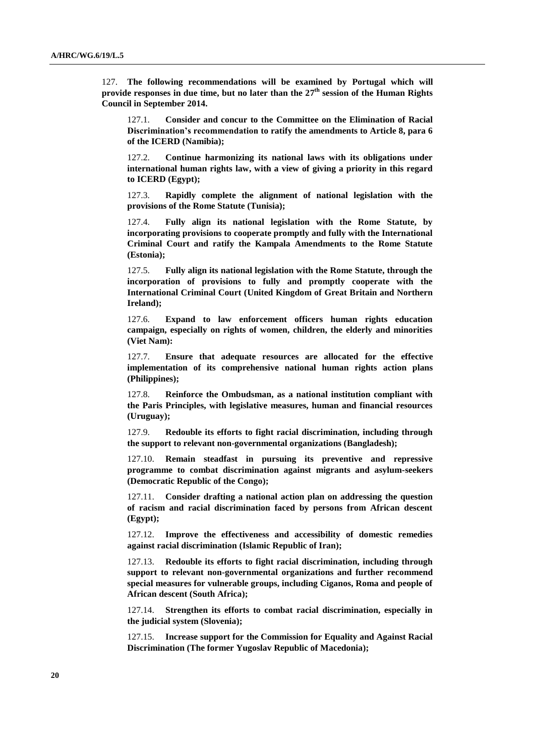127. **The following recommendations will be examined by Portugal which will provide responses in due time, but no later than the 27 th session of the Human Rights Council in September 2014.**

127.1. **Consider and concur to the Committee on the Elimination of Racial Discrimination's recommendation to ratify the amendments to Article 8, para 6 of the ICERD (Namibia);**

127.2. **Continue harmonizing its national laws with its obligations under international human rights law, with a view of giving a priority in this regard to ICERD (Egypt);**

127.3. **Rapidly complete the alignment of national legislation with the provisions of the Rome Statute (Tunisia);**

127.4. **Fully align its national legislation with the Rome Statute, by incorporating provisions to cooperate promptly and fully with the International Criminal Court and ratify the Kampala Amendments to the Rome Statute (Estonia);**

127.5. **Fully align its national legislation with the Rome Statute, through the incorporation of provisions to fully and promptly cooperate with the International Criminal Court (United Kingdom of Great Britain and Northern Ireland);**

127.6. **Expand to law enforcement officers human rights education campaign, especially on rights of women, children, the elderly and minorities (Viet Nam):**

127.7. **Ensure that adequate resources are allocated for the effective implementation of its comprehensive national human rights action plans (Philippines);**

127.8. **Reinforce the Ombudsman, as a national institution compliant with the Paris Principles, with legislative measures, human and financial resources (Uruguay);**

127.9. **Redouble its efforts to fight racial discrimination, including through the support to relevant non-governmental organizations (Bangladesh);**

127.10. **Remain steadfast in pursuing its preventive and repressive programme to combat discrimination against migrants and asylum-seekers (Democratic Republic of the Congo);**

127.11. **Consider drafting a national action plan on addressing the question of racism and racial discrimination faced by persons from African descent (Egypt);**

127.12. **Improve the effectiveness and accessibility of domestic remedies against racial discrimination (Islamic Republic of Iran);**

127.13. **Redouble its efforts to fight racial discrimination, including through support to relevant non-governmental organizations and further recommend special measures for vulnerable groups, including Ciganos, Roma and people of African descent (South Africa);** 

127.14. **Strengthen its efforts to combat racial discrimination, especially in the judicial system (Slovenia);**

127.15. **Increase support for the Commission for Equality and Against Racial Discrimination (The former Yugoslav Republic of Macedonia);**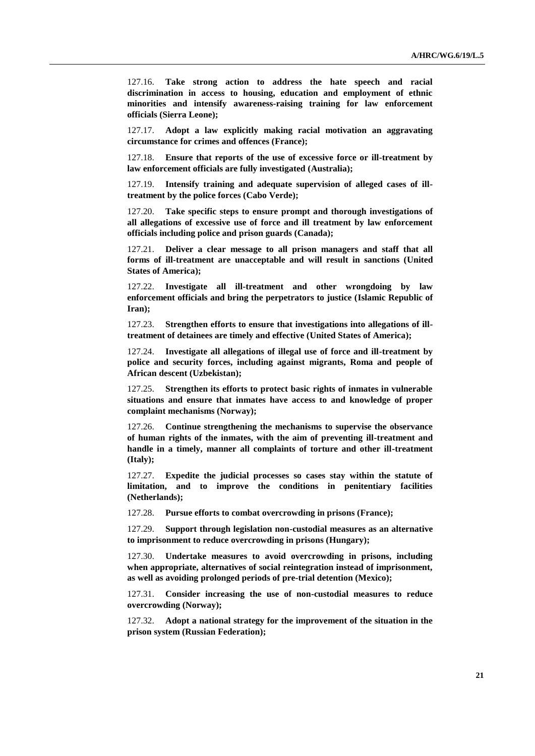127.16. **Take strong action to address the hate speech and racial discrimination in access to housing, education and employment of ethnic minorities and intensify awareness-raising training for law enforcement officials (Sierra Leone);**

127.17. **Adopt a law explicitly making racial motivation an aggravating circumstance for crimes and offences (France);**

127.18. **Ensure that reports of the use of excessive force or ill-treatment by law enforcement officials are fully investigated (Australia);**

127.19. **Intensify training and adequate supervision of alleged cases of illtreatment by the police forces (Cabo Verde);**

127.20. **Take specific steps to ensure prompt and thorough investigations of all allegations of excessive use of force and ill treatment by law enforcement officials including police and prison guards (Canada);**

127.21. **Deliver a clear message to all prison managers and staff that all forms of ill-treatment are unacceptable and will result in sanctions (United States of America);**

127.22. **Investigate all ill-treatment and other wrongdoing by law enforcement officials and bring the perpetrators to justice (Islamic Republic of Iran);**

127.23. **Strengthen efforts to ensure that investigations into allegations of illtreatment of detainees are timely and effective (United States of America);**

127.24. **Investigate all allegations of illegal use of force and ill-treatment by police and security forces, including against migrants, Roma and people of African descent (Uzbekistan);**

127.25. **Strengthen its efforts to protect basic rights of inmates in vulnerable situations and ensure that inmates have access to and knowledge of proper complaint mechanisms (Norway);**

127.26. **Continue strengthening the mechanisms to supervise the observance of human rights of the inmates, with the aim of preventing ill-treatment and handle in a timely, manner all complaints of torture and other ill-treatment (Italy);**

127.27. **Expedite the judicial processes so cases stay within the statute of limitation, and to improve the conditions in penitentiary facilities (Netherlands);**

127.28. **Pursue efforts to combat overcrowding in prisons (France);**

127.29. **Support through legislation non-custodial measures as an alternative to imprisonment to reduce overcrowding in prisons (Hungary);**

127.30. **Undertake measures to avoid overcrowding in prisons, including when appropriate, alternatives of social reintegration instead of imprisonment, as well as avoiding prolonged periods of pre-trial detention (Mexico);**

127.31. **Consider increasing the use of non-custodial measures to reduce overcrowding (Norway);**

127.32. **Adopt a national strategy for the improvement of the situation in the prison system (Russian Federation);**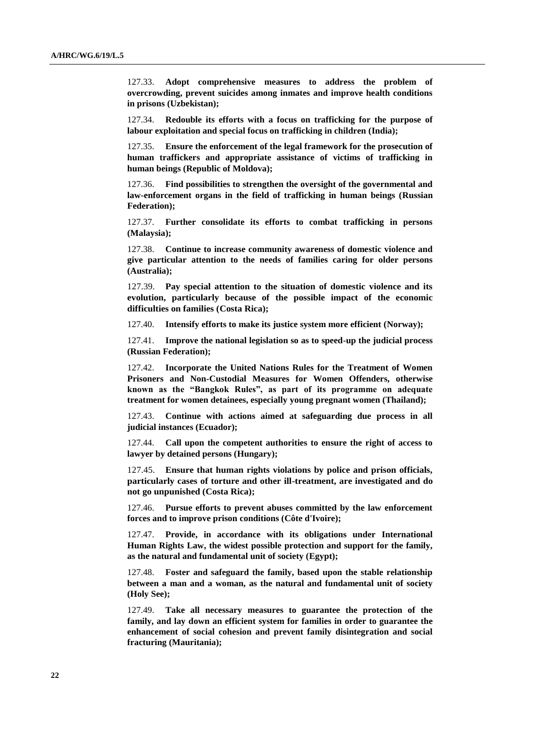127.33. **Adopt comprehensive measures to address the problem of overcrowding, prevent suicides among inmates and improve health conditions in prisons (Uzbekistan);**

127.34. **Redouble its efforts with a focus on trafficking for the purpose of labour exploitation and special focus on trafficking in children (India);**

127.35. **Ensure the enforcement of the legal framework for the prosecution of human traffickers and appropriate assistance of victims of trafficking in human beings (Republic of Moldova);**

127.36. **Find possibilities to strengthen the oversight of the governmental and law-enforcement organs in the field of trafficking in human beings (Russian Federation);**

127.37. **Further consolidate its efforts to combat trafficking in persons (Malaysia);**

127.38. **Continue to increase community awareness of domestic violence and give particular attention to the needs of families caring for older persons (Australia);**

127.39. **Pay special attention to the situation of domestic violence and its evolution, particularly because of the possible impact of the economic difficulties on families (Costa Rica);**

127.40. **Intensify efforts to make its justice system more efficient (Norway);**

127.41. **Improve the national legislation so as to speed-up the judicial process (Russian Federation);**

127.42. **Incorporate the United Nations Rules for the Treatment of Women Prisoners and Non-Custodial Measures for Women Offenders, otherwise known as the "Bangkok Rules", as part of its programme on adequate treatment for women detainees, especially young pregnant women (Thailand);**

127.43. **Continue with actions aimed at safeguarding due process in all judicial instances (Ecuador);** 

127.44. **Call upon the competent authorities to ensure the right of access to lawyer by detained persons (Hungary);**

127.45. **Ensure that human rights violations by police and prison officials, particularly cases of torture and other ill-treatment, are investigated and do not go unpunished (Costa Rica);**

127.46. **Pursue efforts to prevent abuses committed by the law enforcement forces and to improve prison conditions (Côte d'Ivoire);**

127.47. **Provide, in accordance with its obligations under International Human Rights Law, the widest possible protection and support for the family, as the natural and fundamental unit of society (Egypt);**

127.48. **Foster and safeguard the family, based upon the stable relationship between a man and a woman, as the natural and fundamental unit of society (Holy See);**

127.49. **Take all necessary measures to guarantee the protection of the family, and lay down an efficient system for families in order to guarantee the enhancement of social cohesion and prevent family disintegration and social fracturing (Mauritania);**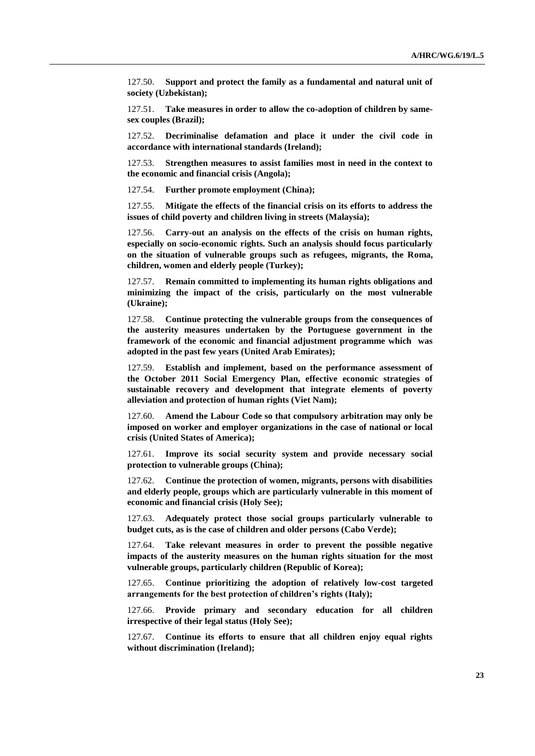127.50. **Support and protect the family as a fundamental and natural unit of society (Uzbekistan);**

127.51. **Take measures in order to allow the co-adoption of children by samesex couples (Brazil);**

127.52. **Decriminalise defamation and place it under the civil code in accordance with international standards (Ireland);**

127.53. **Strengthen measures to assist families most in need in the context to the economic and financial crisis (Angola);**

127.54. **Further promote employment (China);**

127.55. **Mitigate the effects of the financial crisis on its efforts to address the issues of child poverty and children living in streets (Malaysia);**

127.56. **Carry-out an analysis on the effects of the crisis on human rights, especially on socio-economic rights. Such an analysis should focus particularly on the situation of vulnerable groups such as refugees, migrants, the Roma, children, women and elderly people (Turkey);**

127.57. **Remain committed to implementing its human rights obligations and minimizing the impact of the crisis, particularly on the most vulnerable (Ukraine);**

127.58. **Continue protecting the vulnerable groups from the consequences of the austerity measures undertaken by the Portuguese government in the framework of the economic and financial adjustment programme which was adopted in the past few years (United Arab Emirates);**

127.59. **Establish and implement, based on the performance assessment of the October 2011 Social Emergency Plan, effective economic strategies of sustainable recovery and development that integrate elements of poverty alleviation and protection of human rights (Viet Nam);**

127.60. **Amend the Labour Code so that compulsory arbitration may only be imposed on worker and employer organizations in the case of national or local crisis (United States of America);**

127.61. **Improve its social security system and provide necessary social protection to vulnerable groups (China);**

127.62. **Continue the protection of women, migrants, persons with disabilities and elderly people, groups which are particularly vulnerable in this moment of economic and financial crisis (Holy See);**

127.63. **Adequately protect those social groups particularly vulnerable to budget cuts, as is the case of children and older persons (Cabo Verde);**

127.64. **Take relevant measures in order to prevent the possible negative impacts of the austerity measures on the human rights situation for the most vulnerable groups, particularly children (Republic of Korea);**

127.65. **Continue prioritizing the adoption of relatively low-cost targeted arrangements for the best protection of children's rights (Italy);**

127.66. **Provide primary and secondary education for all children irrespective of their legal status (Holy See);**

127.67. **Continue its efforts to ensure that all children enjoy equal rights without discrimination (Ireland);**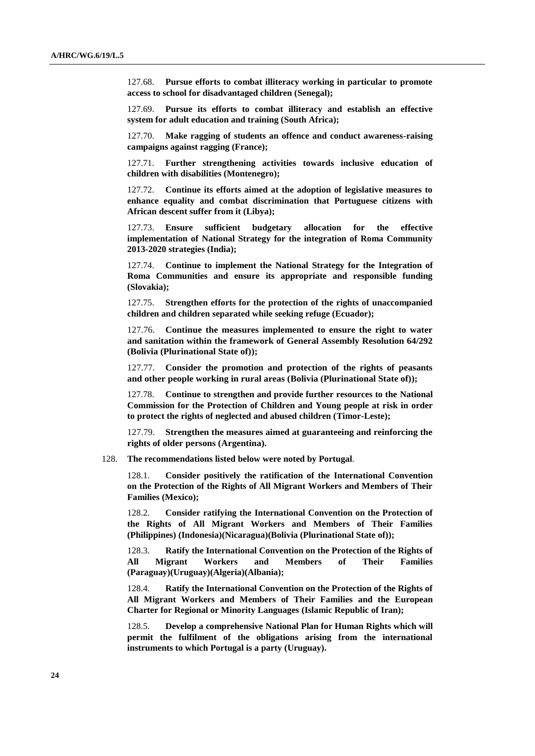127.68. **Pursue efforts to combat illiteracy working in particular to promote access to school for disadvantaged children (Senegal);**

127.69. **Pursue its efforts to combat illiteracy and establish an effective system for adult education and training (South Africa);**

127.70. **Make ragging of students an offence and conduct awareness-raising campaigns against ragging (France);**

127.71. **Further strengthening activities towards inclusive education of children with disabilities (Montenegro);**

127.72. **Continue its efforts aimed at the adoption of legislative measures to enhance equality and combat discrimination that Portuguese citizens with African descent suffer from it (Libya);**

127.73. **Ensure sufficient budgetary allocation for the effective implementation of National Strategy for the integration of Roma Community 2013-2020 strategies (India);**

127.74. **Continue to implement the National Strategy for the Integration of Roma Communities and ensure its appropriate and responsible funding (Slovakia);**

127.75. **Strengthen efforts for the protection of the rights of unaccompanied children and children separated while seeking refuge (Ecuador);**

127.76. **Continue the measures implemented to ensure the right to water and sanitation within the framework of General Assembly Resolution 64/292 (Bolivia (Plurinational State of));**

127.77. **Consider the promotion and protection of the rights of peasants and other people working in rural areas (Bolivia (Plurinational State of));**

127.78. **Continue to strengthen and provide further resources to the National Commission for the Protection of Children and Young people at risk in order to protect the rights of neglected and abused children (Timor-Leste);**

127.79. **Strengthen the measures aimed at guaranteeing and reinforcing the rights of older persons (Argentina).**

128. **The recommendations listed below were noted by Portugal**.

128.1. **Consider positively the ratification of the International Convention on the Protection of the Rights of All Migrant Workers and Members of Their Families (Mexico);**

128.2. **Consider ratifying the International Convention on the Protection of the Rights of All Migrant Workers and Members of Their Families (Philippines) (Indonesia)(Nicaragua)(Bolivia (Plurinational State of));**

128.3. **Ratify the International Convention on the Protection of the Rights of All Migrant Workers and Members of Their Families (Paraguay)(Uruguay)(Algeria)(Albania);**

128.4. **Ratify the International Convention on the Protection of the Rights of All Migrant Workers and Members of Their Families and the European Charter for Regional or Minority Languages (Islamic Republic of Iran);**

128.5. **Develop a comprehensive National Plan for Human Rights which will permit the fulfilment of the obligations arising from the international instruments to which Portugal is a party (Uruguay).**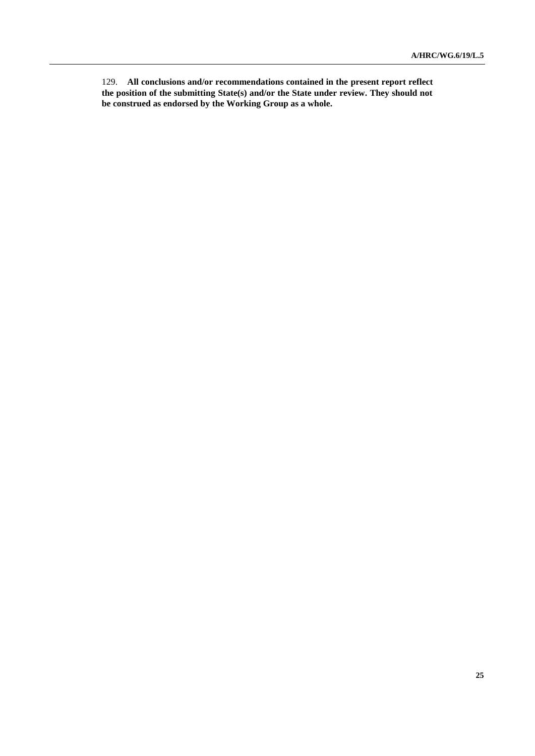129. **All conclusions and/or recommendations contained in the present report reflect the position of the submitting State(s) and/or the State under review. They should not be construed as endorsed by the Working Group as a whole.**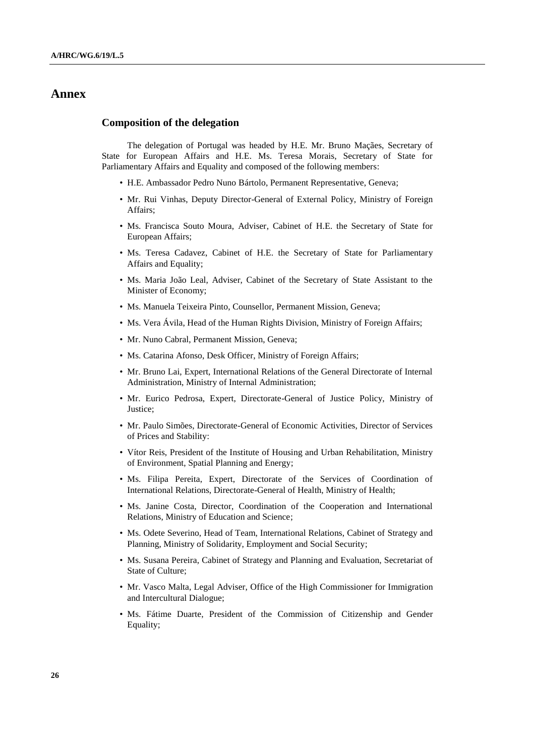## **Annex**

## **Composition of the delegation**

The delegation of Portugal was headed by H.E. Mr. Bruno Maçães, Secretary of State for European Affairs and H.E. Ms. Teresa Morais, Secretary of State for Parliamentary Affairs and Equality and composed of the following members:

- H.E. Ambassador Pedro Nuno Bártolo, Permanent Representative, Geneva;
- Mr. Rui Vinhas, Deputy Director-General of External Policy, Ministry of Foreign Affairs;
- Ms. Francisca Souto Moura, Adviser, Cabinet of H.E. the Secretary of State for European Affairs;
- Ms. Teresa Cadavez, Cabinet of H.E. the Secretary of State for Parliamentary Affairs and Equality;
- Ms. Maria João Leal, Adviser, Cabinet of the Secretary of State Assistant to the Minister of Economy;
- Ms. Manuela Teixeira Pinto, Counsellor, Permanent Mission, Geneva;
- Ms. Vera Ávila, Head of the Human Rights Division, Ministry of Foreign Affairs;
- Mr. Nuno Cabral, Permanent Mission, Geneva;
- Ms. Catarina Afonso, Desk Officer, Ministry of Foreign Affairs;
- Mr. Bruno Lai, Expert, International Relations of the General Directorate of Internal Administration, Ministry of Internal Administration;
- Mr. Eurico Pedrosa, Expert, Directorate-General of Justice Policy, Ministry of Justice;
- Mr. Paulo Simões, Directorate-General of Economic Activities, Director of Services of Prices and Stability:
- Vítor Reis, President of the Institute of Housing and Urban Rehabilitation, Ministry of Environment, Spatial Planning and Energy;
- Ms. Filipa Pereita, Expert, Directorate of the Services of Coordination of International Relations, Directorate-General of Health, Ministry of Health;
- Ms. Janine Costa, Director, Coordination of the Cooperation and International Relations, Ministry of Education and Science;
- Ms. Odete Severino, Head of Team, International Relations, Cabinet of Strategy and Planning, Ministry of Solidarity, Employment and Social Security;
- Ms. Susana Pereira, Cabinet of Strategy and Planning and Evaluation, Secretariat of State of Culture;
- Mr. Vasco Malta, Legal Adviser, Office of the High Commissioner for Immigration and Intercultural Dialogue;
- Ms. Fátime Duarte, President of the Commission of Citizenship and Gender Equality;